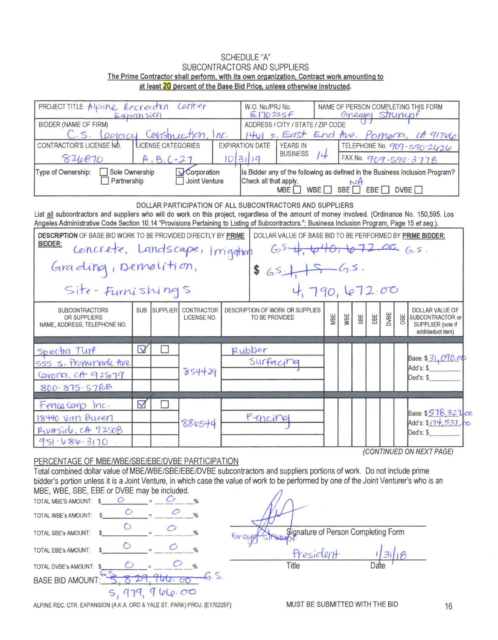## **SCHEDULE "A"** SUBCONTRACTORS AND SUPPLIERS The Prime Contractor shall perform, with its own organization, Contract work amounting to at least 20 percent of the Base Bid Price, unless otherwise instructed.

| PROJECT TITLE Alpine Recreation Center<br>Expansion                                                                                                                                                                                                                                               | W.O. No./PRJ No.<br>E170225F      | NAME OF PERSON COMPLETING THIS FORM<br>Gineagel Strumpf |                           |  |                        |                                                           |     |     |     |     |             |     |                                                                               |  |
|---------------------------------------------------------------------------------------------------------------------------------------------------------------------------------------------------------------------------------------------------------------------------------------------------|-----------------------------------|---------------------------------------------------------|---------------------------|--|------------------------|-----------------------------------------------------------|-----|-----|-----|-----|-------------|-----|-------------------------------------------------------------------------------|--|
| <b>BIDDER (NAME OF FIRM)</b>                                                                                                                                                                                                                                                                      | ADDRESS / CITY / STATE / ZIP CODE |                                                         |                           |  |                        |                                                           |     |     |     |     |             |     |                                                                               |  |
| C.s. Leolorcy Construction, Inc.                                                                                                                                                                                                                                                                  |                                   |                                                         |                           |  |                        |                                                           |     |     |     |     |             |     | 1401 s. East End the. Pomona, ct 91746                                        |  |
| CONTRACTOR'S LICENSE NO.                                                                                                                                                                                                                                                                          |                                   | LICENSE CATEGORIES                                      |                           |  | <b>EXPIRATION DATE</b> | <b>YEARS IN</b>                                           |     |     |     |     |             |     | TELEPHONE No. 909 - 590-2426                                                  |  |
| 826870                                                                                                                                                                                                                                                                                            |                                   | $A, B, C-21$                                            |                           |  | 10 31 19               | <b>BUSINESS</b>                                           | 14  |     |     |     |             |     | FAX No. 909.590.3778                                                          |  |
| Sole Ownership<br>Is Bidder any of the following as defined in the Business Inclusion Program?<br>Type of Ownership:<br>Corporation<br>Joint Venture<br>Partnership<br>Check all that apply.<br>$N$ A<br>WBE $\Box$ SBE $\Box$ EBE $\Box$ DVBE $\Box$<br>MBE                                      |                                   |                                                         |                           |  |                        |                                                           |     |     |     |     |             |     |                                                                               |  |
| List all subcontractors and suppliers who will do work on this project, regardless of the amount of money involved. (Ordinance No. 150,595. Los<br>Angeles Administrative Code Section 10.14 "Provisions Pertaining to Listing of Subcontractors."; Business Inclusion Program, Page 15 et seq.). |                                   |                                                         |                           |  |                        | DOLLAR PARTICIPATION OF ALL SUBCONTRACTORS AND SUPPLIERS  |     |     |     |     |             |     |                                                                               |  |
| <b>DESCRIPTION OF BASE BID WORK TO BE PROVIDED DIRECTLY BY PRIME</b>                                                                                                                                                                                                                              |                                   |                                                         |                           |  |                        | DOLLAR VALUE OF BASE BID TO BE PERFORMED BY PRIME BIDDER: |     |     |     |     |             |     |                                                                               |  |
| <b>BIDDER:</b><br>Concrete, Landscape, Irrigation                                                                                                                                                                                                                                                 |                                   |                                                         |                           |  |                        | $G_2^5 - 4$ , $640$ , $672.06$ $G_1s$ .                   |     |     |     |     |             |     |                                                                               |  |
| Grading, Demolition,<br>$65 + 5 - 6.5$                                                                                                                                                                                                                                                            |                                   |                                                         |                           |  |                        |                                                           |     |     |     |     |             |     |                                                                               |  |
| Site - Furnishings                                                                                                                                                                                                                                                                                |                                   |                                                         |                           |  |                        | 4,790,672.00                                              |     |     |     |     |             |     |                                                                               |  |
| <b>SUBCONTRACTORS</b><br>OR SUPPLIERS<br>NAME, ADDRESS, TELEPHONE NO.                                                                                                                                                                                                                             |                                   | SUB SUPPLIER                                            | CONTRACTOR<br>LICENSE NO. |  | TO BE PROVIDED         | DESCRIPTION OF WORK OR SUPPLIES                           | MBE | WBE | SBE | EBE | <b>DVBE</b> | OBE | DOLLAR VALUE OF<br>SUBCONTRACTOR or<br>SUPPLIIER (note if<br>add/deduct item) |  |
|                                                                                                                                                                                                                                                                                                   | $\overline{\mathsf{v}}$           | L.                                                      |                           |  | Rubber                 |                                                           |     |     |     |     |             |     |                                                                               |  |
| Spectra Turf                                                                                                                                                                                                                                                                                      |                                   |                                                         |                           |  |                        |                                                           |     |     |     |     |             |     | Base: \$31,090.00                                                             |  |
| 555 S. Promenade thre                                                                                                                                                                                                                                                                             |                                   |                                                         | 854429                    |  | Surfacing              |                                                           |     |     |     |     |             |     | Add's: \$                                                                     |  |
| Covona, CA 92879                                                                                                                                                                                                                                                                                  |                                   |                                                         |                           |  |                        |                                                           |     |     |     |     |             |     | Ded's: \$                                                                     |  |
| 800.875.5788                                                                                                                                                                                                                                                                                      |                                   |                                                         |                           |  |                        |                                                           |     |     |     |     |             |     |                                                                               |  |
| Fence Corp Inc.                                                                                                                                                                                                                                                                                   | $\blacktriangledown$              | П                                                       |                           |  |                        |                                                           |     |     |     |     |             |     |                                                                               |  |
| 18440 Van Buren                                                                                                                                                                                                                                                                                   |                                   |                                                         |                           |  | Fincine                |                                                           |     |     |     |     |             |     | Base: \$518,327. co                                                           |  |
| Riverside, CA 92508                                                                                                                                                                                                                                                                               |                                   |                                                         | 886544                    |  |                        |                                                           |     |     |     |     |             |     | Add's: \$174,537,00<br>Ded's: \$                                              |  |
| 951.686.3170                                                                                                                                                                                                                                                                                      |                                   |                                                         |                           |  |                        |                                                           |     |     |     |     |             |     |                                                                               |  |
|                                                                                                                                                                                                                                                                                                   |                                   |                                                         |                           |  |                        |                                                           |     |     |     |     |             |     | (CONTINUED ON NEXT PAGE)                                                      |  |

## PERCENTAGE OF MBE/WBE/SBE/EBE/DVBE PARTICIPATION

Total combined dollar value of MBE/WBE/SBE/EBE/DVBE subcontractors and suppliers portions of work. Do not include prime bidder's portion unless it is a Joint Venture, in which case the value of work to be performed by one of the Joint Venturer's who is an MBE, WBE, SBE, EBE or DVBE may be included.  $\sqrt{ }$ 

| TOTAL MBE'S AMOUNT: \$     |          |  |        | %             |                                     |      |
|----------------------------|----------|--|--------|---------------|-------------------------------------|------|
| TOTAL WBE's AMOUNT:        |          |  |        | $\frac{0}{n}$ |                                     |      |
| <b>TOTAL SBE's AMOUNT:</b> |          |  |        | $\frac{0}{6}$ | Signature of Person Completing Form |      |
| TOTAL EBE's AMOUNT:        |          |  |        | $\frac{0}{6}$ | President                           |      |
| TOTAL DVBE's AMOUNT: \$    |          |  |        | $\frac{1}{2}$ | Title                               | Date |
| <b>BASE BID AMOUNT:</b>    | $\Theta$ |  |        |               |                                     |      |
|                            |          |  | 166.00 |               |                                     |      |

ALPINE REC. CTR. EXPANSION (A.K.A. ORD & YALE ST. PARK) PROJ. (E170225F)